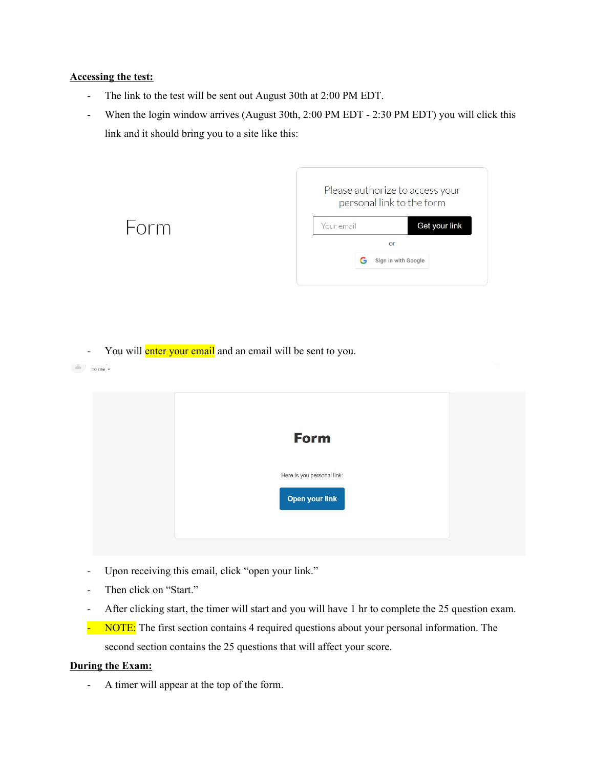## **Accessing the test:**

 $\sim$  to me  $\sim$ 

- The link to the test will be sent out August 30th at 2:00 PM EDT.
- When the login window arrives (August 30th, 2:00 PM EDT 2:30 PM EDT) you will click this link and it should bring you to a site like this:

|      |            | Please authorize to access your<br>personal link to the form |
|------|------------|--------------------------------------------------------------|
| Form | Your email | Get your link                                                |
|      |            | or                                                           |
|      | G          | Sign in with Google                                          |

- You will enter your email and an email will be sent to you.

| <b>Form</b>                |  |
|----------------------------|--|
| Here is you personal link: |  |
| Open your link             |  |
|                            |  |

- Upon receiving this email, click "open your link."
- Then click on "Start."
- After clicking start, the timer will start and you will have 1 hr to complete the 25 question exam.
- NOTE: The first section contains 4 required questions about your personal information. The second section contains the 25 questions that will affect your score.

## **During the Exam:**

- A timer will appear at the top of the form.